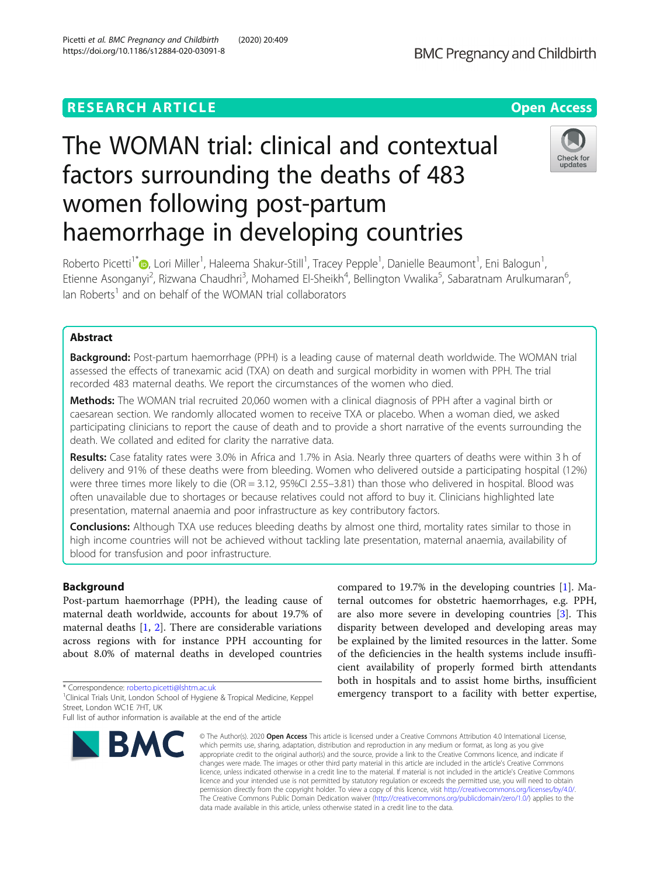## **RESEARCH ARTICLE Example 2014 12:30 The Contract of Contract ACCESS**

# The WOMAN trial: clinical and contextual factors surrounding the deaths of 483 women following post-partum haemorrhage in developing countries

Roberto Picetti<sup>1[\\*](http://orcid.org/0000-0003-4756-5271)</sup>®, Lori Miller<sup>1</sup>, Haleema Shakur-Still<sup>1</sup>, Tracey Pepple<sup>1</sup>, Danielle Beaumont<sup>1</sup>, Eni Balogun<sup>1</sup> , Etienne Asonganyi<sup>2</sup>, Rizwana Chaudhri<sup>3</sup>, Mohamed El-Sheikh<sup>4</sup>, Bellington Vwalika<sup>5</sup>, Sabaratnam Arulkumaran<sup>6</sup> י<br>,  $I$ an Roberts<sup>1</sup> and on behalf of the WOMAN trial collaborators

## Abstract

**Background:** Post-partum haemorrhage (PPH) is a leading cause of maternal death worldwide. The WOMAN trial assessed the effects of tranexamic acid (TXA) on death and surgical morbidity in women with PPH. The trial recorded 483 maternal deaths. We report the circumstances of the women who died.

Methods: The WOMAN trial recruited 20,060 women with a clinical diagnosis of PPH after a vaginal birth or caesarean section. We randomly allocated women to receive TXA or placebo. When a woman died, we asked participating clinicians to report the cause of death and to provide a short narrative of the events surrounding the death. We collated and edited for clarity the narrative data.

Results: Case fatality rates were 3.0% in Africa and 1.7% in Asia. Nearly three quarters of deaths were within 3 h of delivery and 91% of these deaths were from bleeding. Women who delivered outside a participating hospital (12%) were three times more likely to die (OR = 3.12, 95%CI 2.55–3.81) than those who delivered in hospital. Blood was often unavailable due to shortages or because relatives could not afford to buy it. Clinicians highlighted late presentation, maternal anaemia and poor infrastructure as key contributory factors.

Conclusions: Although TXA use reduces bleeding deaths by almost one third, mortality rates similar to those in high income countries will not be achieved without tackling late presentation, maternal anaemia, availability of blood for transfusion and poor infrastructure.

### Background

Post-partum haemorrhage (PPH), the leading cause of maternal death worldwide, accounts for about 19.7% of maternal deaths [\[1,](#page-7-0) [2](#page-7-0)]. There are considerable variations across regions with for instance PPH accounting for about 8.0% of maternal deaths in developed countries

\* Correspondence: [roberto.picetti@lshtm.ac.uk](mailto:roberto.picetti@lshtm.ac.uk) <sup>1</sup>

## Picetti et al. BMC Pregnancy and Childbirth (2020) 20:409 https://doi.org/10.1186/s12884-020-03091-8

© The Author(s), 2020 **Open Access** This article is licensed under a Creative Commons Attribution 4.0 International License, which permits use, sharing, adaptation, distribution and reproduction in any medium or format, as long as you give appropriate credit to the original author(s) and the source, provide a link to the Creative Commons licence, and indicate if changes were made. The images or other third party material in this article are included in the article's Creative Commons licence, unless indicated otherwise in a credit line to the material. If material is not included in the article's Creative Commons licence and your intended use is not permitted by statutory regulation or exceeds the permitted use, you will need to obtain permission directly from the copyright holder. To view a copy of this licence, visit [http://creativecommons.org/licenses/by/4.0/.](http://creativecommons.org/licenses/by/4.0/) The Creative Commons Public Domain Dedication waiver [\(http://creativecommons.org/publicdomain/zero/1.0/](http://creativecommons.org/publicdomain/zero/1.0/)) applies to the data made available in this article, unless otherwise stated in a credit line to the data.

ternal outcomes for obstetric haemorrhages, e.g. PPH, are also more severe in developing countries [\[3](#page-7-0)]. This disparity between developed and developing areas may be explained by the limited resources in the latter. Some of the deficiencies in the health systems include insufficient availability of properly formed birth attendants both in hospitals and to assist home births, insufficient emergency transport to a facility with better expertise,

compared to 19.7% in the developing countries [[1\]](#page-7-0). Ma-

**BMC** 





<sup>&</sup>lt;sup>1</sup> Clinical Trials Unit, London School of Hygiene & Tropical Medicine, Keppel Street, London WC1E 7HT, UK

Full list of author information is available at the end of the article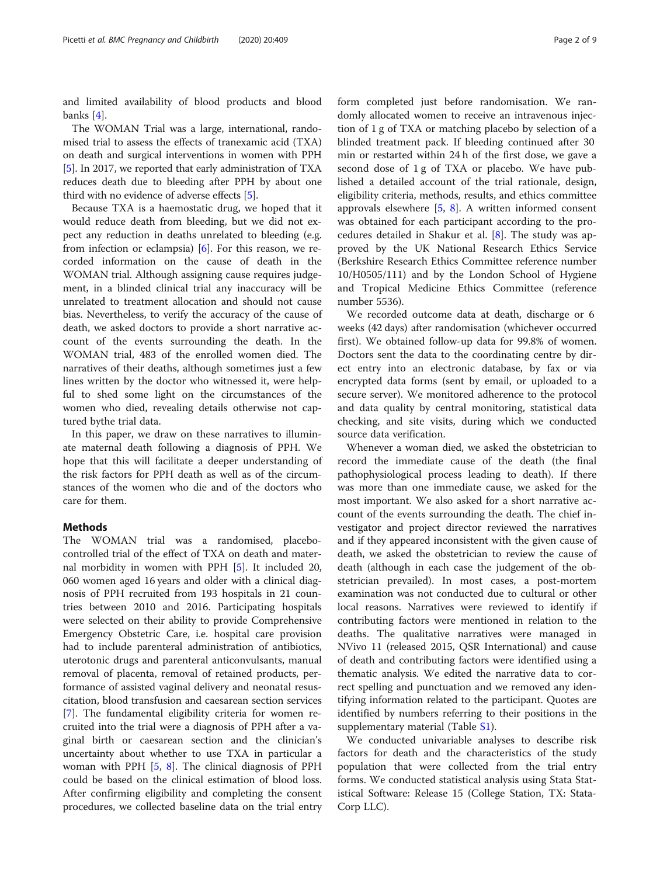and limited availability of blood products and blood banks [\[4](#page-7-0)].

The WOMAN Trial was a large, international, randomised trial to assess the effects of tranexamic acid (TXA) on death and surgical interventions in women with PPH [[5\]](#page-7-0). In 2017, we reported that early administration of TXA reduces death due to bleeding after PPH by about one third with no evidence of adverse effects [\[5\]](#page-7-0).

Because TXA is a haemostatic drug, we hoped that it would reduce death from bleeding, but we did not expect any reduction in deaths unrelated to bleeding (e.g. from infection or eclampsia) [[6\]](#page-7-0). For this reason, we recorded information on the cause of death in the WOMAN trial. Although assigning cause requires judgement, in a blinded clinical trial any inaccuracy will be unrelated to treatment allocation and should not cause bias. Nevertheless, to verify the accuracy of the cause of death, we asked doctors to provide a short narrative account of the events surrounding the death. In the WOMAN trial, 483 of the enrolled women died. The narratives of their deaths, although sometimes just a few lines written by the doctor who witnessed it, were helpful to shed some light on the circumstances of the women who died, revealing details otherwise not captured bythe trial data.

In this paper, we draw on these narratives to illuminate maternal death following a diagnosis of PPH. We hope that this will facilitate a deeper understanding of the risk factors for PPH death as well as of the circumstances of the women who die and of the doctors who care for them.

### Methods

The WOMAN trial was a randomised, placebocontrolled trial of the effect of TXA on death and maternal morbidity in women with PPH [\[5](#page-7-0)]. It included 20, 060 women aged 16 years and older with a clinical diagnosis of PPH recruited from 193 hospitals in 21 countries between 2010 and 2016. Participating hospitals were selected on their ability to provide Comprehensive Emergency Obstetric Care, i.e. hospital care provision had to include parenteral administration of antibiotics, uterotonic drugs and parenteral anticonvulsants, manual removal of placenta, removal of retained products, performance of assisted vaginal delivery and neonatal resuscitation, blood transfusion and caesarean section services [[7\]](#page-7-0). The fundamental eligibility criteria for women recruited into the trial were a diagnosis of PPH after a vaginal birth or caesarean section and the clinician's uncertainty about whether to use TXA in particular a woman with PPH  $[5, 8]$  $[5, 8]$  $[5, 8]$  $[5, 8]$  $[5, 8]$ . The clinical diagnosis of PPH could be based on the clinical estimation of blood loss. After confirming eligibility and completing the consent procedures, we collected baseline data on the trial entry form completed just before randomisation. We randomly allocated women to receive an intravenous injection of 1 g of TXA or matching placebo by selection of a blinded treatment pack. If bleeding continued after 30 min or restarted within 24 h of the first dose, we gave a second dose of 1 g of TXA or placebo. We have published a detailed account of the trial rationale, design, eligibility criteria, methods, results, and ethics committee approvals elsewhere  $[5, 8]$  $[5, 8]$  $[5, 8]$  $[5, 8]$  $[5, 8]$ . A written informed consent was obtained for each participant according to the procedures detailed in Shakur et al. [[8\]](#page-8-0). The study was approved by the UK National Research Ethics Service (Berkshire Research Ethics Committee reference number 10/H0505/111) and by the London School of Hygiene and Tropical Medicine Ethics Committee (reference number 5536).

We recorded outcome data at death, discharge or 6 weeks (42 days) after randomisation (whichever occurred first). We obtained follow-up data for 99.8% of women. Doctors sent the data to the coordinating centre by direct entry into an electronic database, by fax or via encrypted data forms (sent by email, or uploaded to a secure server). We monitored adherence to the protocol and data quality by central monitoring, statistical data checking, and site visits, during which we conducted source data verification.

Whenever a woman died, we asked the obstetrician to record the immediate cause of the death (the final pathophysiological process leading to death). If there was more than one immediate cause, we asked for the most important. We also asked for a short narrative account of the events surrounding the death. The chief investigator and project director reviewed the narratives and if they appeared inconsistent with the given cause of death, we asked the obstetrician to review the cause of death (although in each case the judgement of the obstetrician prevailed). In most cases, a post-mortem examination was not conducted due to cultural or other local reasons. Narratives were reviewed to identify if contributing factors were mentioned in relation to the deaths. The qualitative narratives were managed in NVivo 11 (released 2015, QSR International) and cause of death and contributing factors were identified using a thematic analysis. We edited the narrative data to correct spelling and punctuation and we removed any identifying information related to the participant. Quotes are identified by numbers referring to their positions in the supplementary material (Table [S1](#page-7-0)).

We conducted univariable analyses to describe risk factors for death and the characteristics of the study population that were collected from the trial entry forms. We conducted statistical analysis using Stata Statistical Software: Release 15 (College Station, TX: Stata-Corp LLC).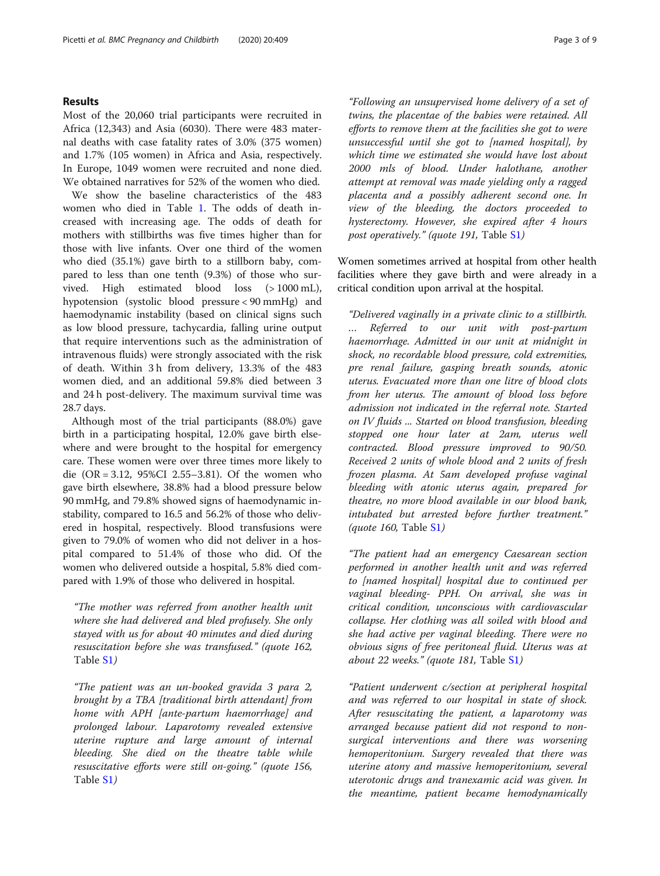#### Results

Most of the 20,060 trial participants were recruited in Africa (12,343) and Asia (6030). There were 483 maternal deaths with case fatality rates of 3.0% (375 women) and 1.7% (105 women) in Africa and Asia, respectively. In Europe, 1049 women were recruited and none died. We obtained narratives for 52% of the women who died.

We show the baseline characteristics of the 483 women who died in Table [1.](#page-3-0) The odds of death increased with increasing age. The odds of death for mothers with stillbirths was five times higher than for those with live infants. Over one third of the women who died (35.1%) gave birth to a stillborn baby, compared to less than one tenth (9.3%) of those who survived. High estimated blood loss (> 1000 mL), hypotension (systolic blood pressure < 90 mmHg) and haemodynamic instability (based on clinical signs such as low blood pressure, tachycardia, falling urine output that require interventions such as the administration of intravenous fluids) were strongly associated with the risk of death. Within 3 h from delivery, 13.3% of the 483 women died, and an additional 59.8% died between 3 and 24 h post-delivery. The maximum survival time was 28.7 days.

Although most of the trial participants (88.0%) gave birth in a participating hospital, 12.0% gave birth elsewhere and were brought to the hospital for emergency care. These women were over three times more likely to die (OR = 3.12, 95%CI 2.55–3.81). Of the women who gave birth elsewhere, 38.8% had a blood pressure below 90 mmHg, and 79.8% showed signs of haemodynamic instability, compared to 16.5 and 56.2% of those who delivered in hospital, respectively. Blood transfusions were given to 79.0% of women who did not deliver in a hospital compared to 51.4% of those who did. Of the women who delivered outside a hospital, 5.8% died compared with 1.9% of those who delivered in hospital.

"The mother was referred from another health unit where she had delivered and bled profusely. She only stayed with us for about 40 minutes and died during resuscitation before she was transfused." (quote 162, Table [S1](#page-7-0))

"The patient was an un-booked gravida 3 para 2, brought by a TBA [traditional birth attendant] from home with APH [ante-partum haemorrhage] and prolonged labour. Laparotomy revealed extensive uterine rupture and large amount of internal bleeding. She died on the theatre table while resuscitative efforts were still on-going." (quote 156, Table [S1](#page-7-0))

"Following an unsupervised home delivery of a set of twins, the placentae of the babies were retained. All efforts to remove them at the facilities she got to were unsuccessful until she got to [named hospital], by which time we estimated she would have lost about 2000 mls of blood. Under halothane, another attempt at removal was made yielding only a ragged placenta and a possibly adherent second one. In view of the bleeding, the doctors proceeded to hysterectomy. However, she expired after 4 hours post operatively." (quote 191, Table [S1](#page-7-0))

Women sometimes arrived at hospital from other health facilities where they gave birth and were already in a critical condition upon arrival at the hospital.

"Delivered vaginally in a private clinic to a stillbirth. … Referred to our unit with post-partum haemorrhage. Admitted in our unit at midnight in shock, no recordable blood pressure, cold extremities, pre renal failure, gasping breath sounds, atonic uterus. Evacuated more than one litre of blood clots from her uterus. The amount of blood loss before admission not indicated in the referral note. Started on IV fluids ... Started on blood transfusion, bleeding stopped one hour later at 2am, uterus well contracted. Blood pressure improved to 90/50. Received 2 units of whole blood and 2 units of fresh frozen plasma. At 5am developed profuse vaginal bleeding with atonic uterus again, prepared for theatre, no more blood available in our blood bank, intubated but arrested before further treatment." (quote 160, Table [S1](#page-7-0))

"The patient had an emergency Caesarean section performed in another health unit and was referred to [named hospital] hospital due to continued per vaginal bleeding- PPH. On arrival, she was in critical condition, unconscious with cardiovascular collapse. Her clothing was all soiled with blood and she had active per vaginal bleeding. There were no obvious signs of free peritoneal fluid. Uterus was at about 22 weeks." (quote 181, Table [S1](#page-7-0))

"Patient underwent c/section at peripheral hospital and was referred to our hospital in state of shock. After resuscitating the patient, a laparotomy was arranged because patient did not respond to nonsurgical interventions and there was worsening hemoperitonium. Surgery revealed that there was uterine atony and massive hemoperitonium, several uterotonic drugs and tranexamic acid was given. In the meantime, patient became hemodynamically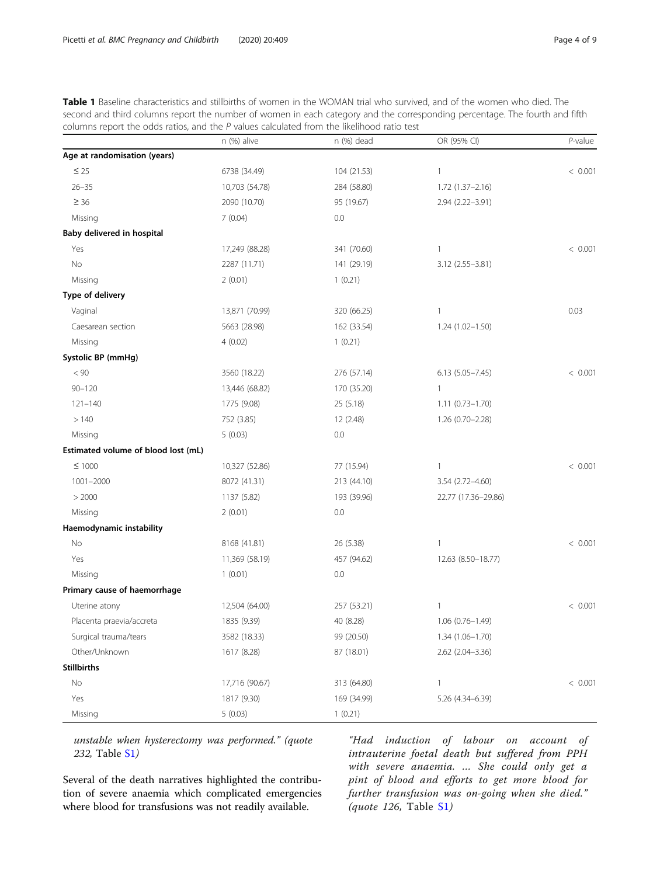<span id="page-3-0"></span>

|  |                                                                                            |  |  |  |  | <b>Table 1</b> Baseline characteristics and stillbirths of women in the WOMAN trial who survived, and of the women who died. The |  |
|--|--------------------------------------------------------------------------------------------|--|--|--|--|----------------------------------------------------------------------------------------------------------------------------------|--|
|  |                                                                                            |  |  |  |  | second and third columns report the number of women in each category and the corresponding percentage. The fourth and fifth      |  |
|  | columns report the odds ratios, and the P values calculated from the likelihood ratio test |  |  |  |  |                                                                                                                                  |  |

|                                     | n (%) alive    | n (%) dead  | OR (95% CI)         | P-value |
|-------------------------------------|----------------|-------------|---------------------|---------|
| Age at randomisation (years)        |                |             |                     |         |
| $\leq 25$                           | 6738 (34.49)   | 104 (21.53) | $\mathbf{1}$        | < 0.001 |
| $26 - 35$                           | 10,703 (54.78) | 284 (58.80) | $1.72(1.37 - 2.16)$ |         |
| $\geq 36$                           | 2090 (10.70)   | 95 (19.67)  | 2.94 (2.22-3.91)    |         |
| Missing                             | 7(0.04)        | 0.0         |                     |         |
| Baby delivered in hospital          |                |             |                     |         |
| Yes                                 | 17,249 (88.28) | 341 (70.60) | $\mathbf{1}$        | < 0.001 |
| No                                  | 2287 (11.71)   | 141 (29.19) | 3.12 (2.55-3.81)    |         |
| Missing                             | 2(0.01)        | 1(0.21)     |                     |         |
| Type of delivery                    |                |             |                     |         |
| Vaginal                             | 13,871 (70.99) | 320 (66.25) | $\mathbf{1}$        | 0.03    |
| Caesarean section                   | 5663 (28.98)   | 162 (33.54) | $1.24(1.02 - 1.50)$ |         |
| Missing                             | 4(0.02)        | 1(0.21)     |                     |         |
| Systolic BP (mmHg)                  |                |             |                     |         |
| < 90                                | 3560 (18.22)   | 276 (57.14) | $6.13(5.05 - 7.45)$ | < 0.001 |
| $90 - 120$                          | 13,446 (68.82) | 170 (35.20) | $\mathbf{1}$        |         |
| $121 - 140$                         | 1775 (9.08)    | 25 (5.18)   | $1.11(0.73 - 1.70)$ |         |
| >140                                | 752 (3.85)     | 12 (2.48)   | $1.26(0.70 - 2.28)$ |         |
| Missing                             | 5(0.03)        | 0.0         |                     |         |
| Estimated volume of blood lost (mL) |                |             |                     |         |
| $≤ 1000$                            | 10,327 (52.86) | 77 (15.94)  | $\mathbf{1}$        | < 0.001 |
| $1001 - 2000$                       | 8072 (41.31)   | 213 (44.10) | 3.54 (2.72-4.60)    |         |
| > 2000                              | 1137 (5.82)    | 193 (39.96) | 22.77 (17.36-29.86) |         |
| Missing                             | 2(0.01)        | 0.0         |                     |         |
| Haemodynamic instability            |                |             |                     |         |
| No                                  | 8168 (41.81)   | 26 (5.38)   | $\mathbf{1}$        | < 0.001 |
| Yes                                 | 11,369 (58.19) | 457 (94.62) | 12.63 (8.50-18.77)  |         |
| Missing                             | 1(0.01)        | 0.0         |                     |         |
| Primary cause of haemorrhage        |                |             |                     |         |
| Uterine atony                       | 12,504 (64.00) | 257 (53.21) | $\mathbf{1}$        | < 0.001 |
| Placenta praevia/accreta            | 1835 (9.39)    | 40 (8.28)   | 1.06 (0.76-1.49)    |         |
| Surgical trauma/tears               | 3582 (18.33)   | 99 (20.50)  | 1.34 (1.06-1.70)    |         |
| Other/Unknown                       | 1617 (8.28)    | 87 (18.01)  | 2.62 (2.04-3.36)    |         |
| <b>Stillbirths</b>                  |                |             |                     |         |
| $\rm No$                            | 17,716 (90.67) | 313 (64.80) | $\mathbf{1}$        | < 0.001 |
| Yes                                 | 1817 (9.30)    | 169 (34.99) | 5.26 (4.34-6.39)    |         |
| Missing                             | 5(0.03)        | 1(0.21)     |                     |         |

unstable when hysterectomy was performed." (quote 232, Table [S1](#page-7-0))

Several of the death narratives highlighted the contribution of severe anaemia which complicated emergencies where blood for transfusions was not readily available.

"Had induction of labour on account of intrauterine foetal death but suffered from PPH with severe anaemia. … She could only get a pint of blood and efforts to get more blood for further transfusion was on-going when she died." (quote 126, Table [S1](#page-7-0))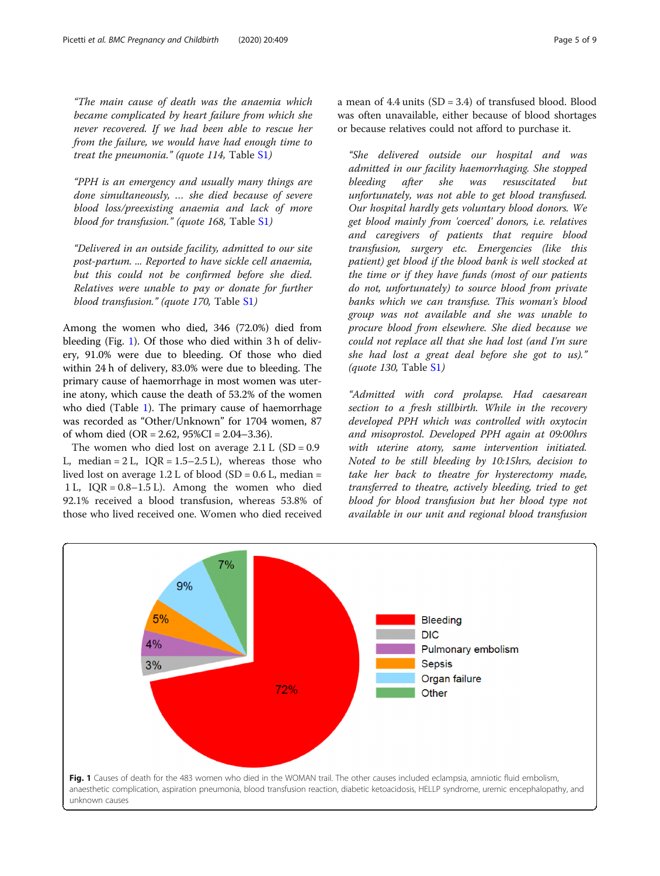<span id="page-4-0"></span>"The main cause of death was the anaemia which became complicated by heart failure from which she never recovered. If we had been able to rescue her from the failure, we would have had enough time to treat the pneumonia." (quote 114, Table [S1](#page-7-0))

"PPH is an emergency and usually many things are done simultaneously, … she died because of severe blood loss/preexisting anaemia and lack of more blood for transfusion." (quote 168, Table [S1](#page-7-0))

"Delivered in an outside facility, admitted to our site post-partum. ... Reported to have sickle cell anaemia, but this could not be confirmed before she died. Relatives were unable to pay or donate for further blood transfusion." (quote 170, Table [S1](#page-7-0))

Among the women who died, 346 (72.0%) died from bleeding (Fig. 1). Of those who died within 3 h of delivery, 91.0% were due to bleeding. Of those who died within 24 h of delivery, 83.0% were due to bleeding. The primary cause of haemorrhage in most women was uterine atony, which cause the death of 53.2% of the women who died (Table [1\)](#page-3-0). The primary cause of haemorrhage was recorded as "Other/Unknown" for 1704 women, 87 of whom died (OR = 2.62,  $95\%CI = 2.04 - 3.36$ ).

The women who died lost on average  $2.1 L$  (SD = 0.9) L, median =  $2 L$ , IOR =  $1.5-2.5 L$ ), whereas those who lived lost on average  $1.2$  L of blood (SD = 0.6 L, median = 1 L, IQR = 0.8–1.5 L). Among the women who died 92.1% received a blood transfusion, whereas 53.8% of those who lived received one. Women who died received a mean of  $4.4$  units  $(SD = 3.4)$  of transfused blood. Blood was often unavailable, either because of blood shortages or because relatives could not afford to purchase it.

"She delivered outside our hospital and was admitted in our facility haemorrhaging. She stopped bleeding after she was resuscitated but unfortunately, was not able to get blood transfused. Our hospital hardly gets voluntary blood donors. We get blood mainly from 'coerced' donors, i.e. relatives and caregivers of patients that require blood transfusion, surgery etc. Emergencies (like this patient) get blood if the blood bank is well stocked at the time or if they have funds (most of our patients do not, unfortunately) to source blood from private banks which we can transfuse. This woman's blood group was not available and she was unable to procure blood from elsewhere. She died because we could not replace all that she had lost (and I'm sure she had lost a great deal before she got to us)." (quote 130, Table [S1](#page-7-0))

"Admitted with cord prolapse. Had caesarean section to a fresh stillbirth. While in the recovery developed PPH which was controlled with oxytocin and misoprostol. Developed PPH again at 09:00hrs with uterine atony, same intervention initiated. Noted to be still bleeding by 10:15hrs, decision to take her back to theatre for hysterectomy made, transferred to theatre, actively bleeding, tried to get blood for blood transfusion but her blood type not available in our unit and regional blood transfusion

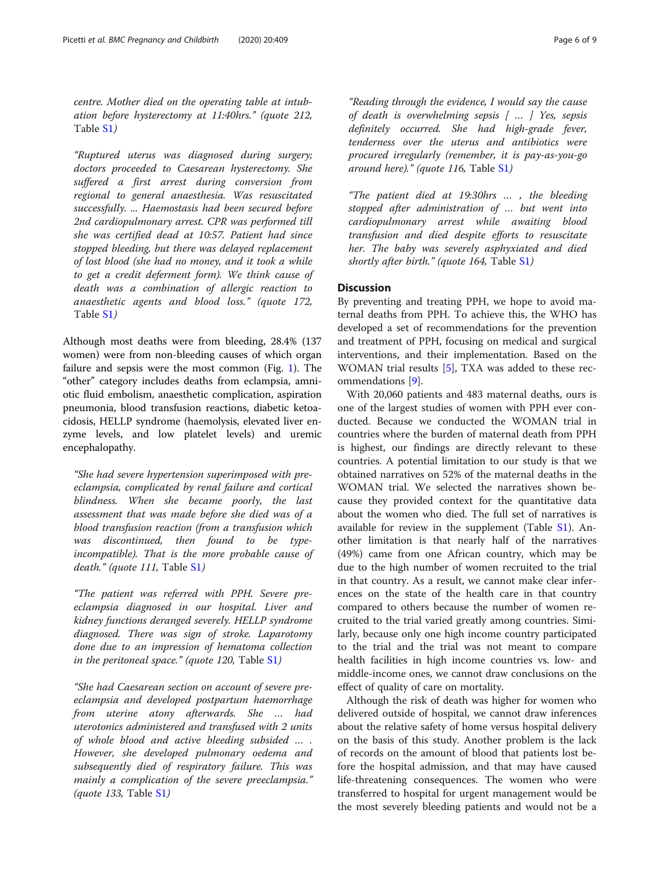centre. Mother died on the operating table at intubation before hysterectomy at 11:40hrs." (quote 212, Table [S1](#page-7-0))

"Ruptured uterus was diagnosed during surgery; doctors proceeded to Caesarean hysterectomy. She suffered a first arrest during conversion from regional to general anaesthesia. Was resuscitated successfully. ... Haemostasis had been secured before 2nd cardiopulmonary arrest. CPR was performed till she was certified dead at 10:57. Patient had since stopped bleeding, but there was delayed replacement of lost blood (she had no money, and it took a while to get a credit deferment form). We think cause of death was a combination of allergic reaction to anaesthetic agents and blood loss." (quote 172, Table [S1](#page-7-0))

Although most deaths were from bleeding, 28.4% (137 women) were from non-bleeding causes of which organ failure and sepsis were the most common (Fig. [1\)](#page-4-0). The "other" category includes deaths from eclampsia, amniotic fluid embolism, anaesthetic complication, aspiration pneumonia, blood transfusion reactions, diabetic ketoacidosis, HELLP syndrome (haemolysis, elevated liver enzyme levels, and low platelet levels) and uremic encephalopathy.

"She had severe hypertension superimposed with preeclampsia, complicated by renal failure and cortical blindness. When she became poorly, the last assessment that was made before she died was of a blood transfusion reaction (from a transfusion which was discontinued, then found to be typeincompatible). That is the more probable cause of death." (quote 111, Table [S1](#page-7-0))

"The patient was referred with PPH. Severe preeclampsia diagnosed in our hospital. Liver and kidney functions deranged severely. HELLP syndrome diagnosed. There was sign of stroke. Laparotomy done due to an impression of hematoma collection in the peritoneal space." (quote 120, Table  $S1$ )

"She had Caesarean section on account of severe preeclampsia and developed postpartum haemorrhage from uterine atony afterwards. She … had uterotonics administered and transfused with 2 units of whole blood and active bleeding subsided … . However, she developed pulmonary oedema and subsequently died of respiratory failure. This was mainly a complication of the severe preeclampsia." (*quote 133*, Table  $S1$ )

"Reading through the evidence, I would say the cause of death is overwhelming sepsis [ … ] Yes, sepsis definitely occurred. She had high-grade fever, tenderness over the uterus and antibiotics were procured irregularly (remember, it is pay-as-you-go around here)." (quote 116, Table  $S1$ )

"The patient died at 19:30hrs … , the bleeding stopped after administration of … but went into cardiopulmonary arrest while awaiting blood transfusion and died despite efforts to resuscitate her. The baby was severely asphyxiated and died shortly after birth." (quote 164, Table [S1](#page-7-0))

## **Discussion**

By preventing and treating PPH, we hope to avoid maternal deaths from PPH. To achieve this, the WHO has developed a set of recommendations for the prevention and treatment of PPH, focusing on medical and surgical interventions, and their implementation. Based on the WOMAN trial results [\[5](#page-7-0)], TXA was added to these recommendations [[9\]](#page-8-0).

With 20,060 patients and 483 maternal deaths, ours is one of the largest studies of women with PPH ever conducted. Because we conducted the WOMAN trial in countries where the burden of maternal death from PPH is highest, our findings are directly relevant to these countries. A potential limitation to our study is that we obtained narratives on 52% of the maternal deaths in the WOMAN trial. We selected the narratives shown because they provided context for the quantitative data about the women who died. The full set of narratives is available for review in the supplement (Table [S1\)](#page-7-0). Another limitation is that nearly half of the narratives (49%) came from one African country, which may be due to the high number of women recruited to the trial in that country. As a result, we cannot make clear inferences on the state of the health care in that country compared to others because the number of women recruited to the trial varied greatly among countries. Similarly, because only one high income country participated to the trial and the trial was not meant to compare health facilities in high income countries vs. low- and middle-income ones, we cannot draw conclusions on the effect of quality of care on mortality.

Although the risk of death was higher for women who delivered outside of hospital, we cannot draw inferences about the relative safety of home versus hospital delivery on the basis of this study. Another problem is the lack of records on the amount of blood that patients lost before the hospital admission, and that may have caused life-threatening consequences. The women who were transferred to hospital for urgent management would be the most severely bleeding patients and would not be a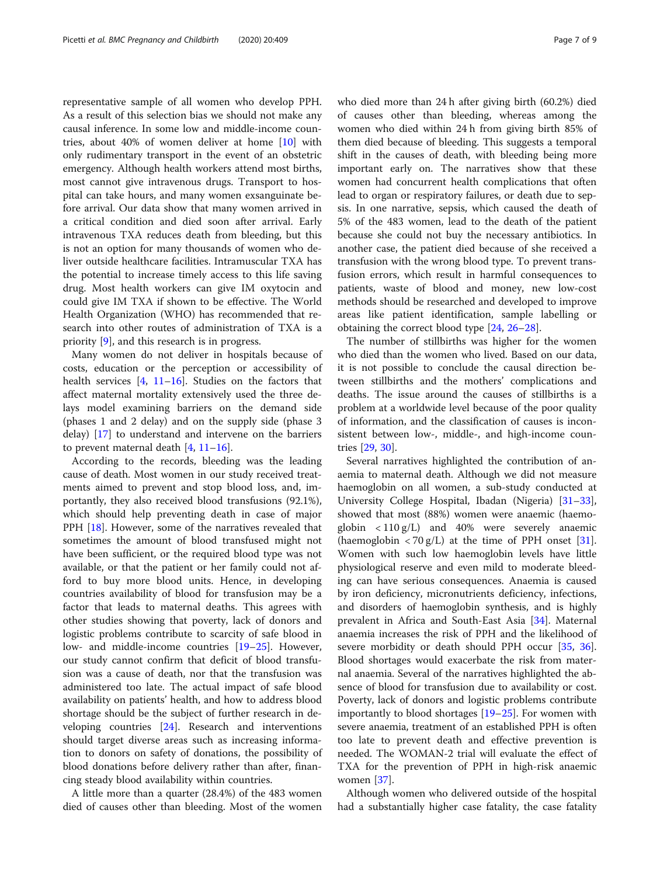representative sample of all women who develop PPH. As a result of this selection bias we should not make any causal inference. In some low and middle-income countries, about 40% of women deliver at home [[10\]](#page-8-0) with only rudimentary transport in the event of an obstetric emergency. Although health workers attend most births, most cannot give intravenous drugs. Transport to hospital can take hours, and many women exsanguinate before arrival. Our data show that many women arrived in a critical condition and died soon after arrival. Early intravenous TXA reduces death from bleeding, but this is not an option for many thousands of women who deliver outside healthcare facilities. Intramuscular TXA has the potential to increase timely access to this life saving drug. Most health workers can give IM oxytocin and could give IM TXA if shown to be effective. The World Health Organization (WHO) has recommended that research into other routes of administration of TXA is a priority [\[9](#page-8-0)], and this research is in progress.

Many women do not deliver in hospitals because of costs, education or the perception or accessibility of health services  $[4, 11-16]$  $[4, 11-16]$  $[4, 11-16]$  $[4, 11-16]$  $[4, 11-16]$  $[4, 11-16]$ . Studies on the factors that affect maternal mortality extensively used the three delays model examining barriers on the demand side (phases 1 and 2 delay) and on the supply side (phase 3 delay) [[17\]](#page-8-0) to understand and intervene on the barriers to prevent maternal death  $[4, 11-16]$  $[4, 11-16]$  $[4, 11-16]$  $[4, 11-16]$  $[4, 11-16]$ .

According to the records, bleeding was the leading cause of death. Most women in our study received treatments aimed to prevent and stop blood loss, and, importantly, they also received blood transfusions (92.1%), which should help preventing death in case of major PPH [[18\]](#page-8-0). However, some of the narratives revealed that sometimes the amount of blood transfused might not have been sufficient, or the required blood type was not available, or that the patient or her family could not afford to buy more blood units. Hence, in developing countries availability of blood for transfusion may be a factor that leads to maternal deaths. This agrees with other studies showing that poverty, lack of donors and logistic problems contribute to scarcity of safe blood in low- and middle-income countries [\[19](#page-8-0)–[25\]](#page-8-0). However, our study cannot confirm that deficit of blood transfusion was a cause of death, nor that the transfusion was administered too late. The actual impact of safe blood availability on patients' health, and how to address blood shortage should be the subject of further research in developing countries [\[24](#page-8-0)]. Research and interventions should target diverse areas such as increasing information to donors on safety of donations, the possibility of blood donations before delivery rather than after, financing steady blood availability within countries.

A little more than a quarter (28.4%) of the 483 women died of causes other than bleeding. Most of the women who died more than 24 h after giving birth (60.2%) died of causes other than bleeding, whereas among the women who died within 24 h from giving birth 85% of them died because of bleeding. This suggests a temporal shift in the causes of death, with bleeding being more important early on. The narratives show that these women had concurrent health complications that often lead to organ or respiratory failures, or death due to sepsis. In one narrative, sepsis, which caused the death of 5% of the 483 women, lead to the death of the patient because she could not buy the necessary antibiotics. In another case, the patient died because of she received a transfusion with the wrong blood type. To prevent transfusion errors, which result in harmful consequences to patients, waste of blood and money, new low-cost methods should be researched and developed to improve areas like patient identification, sample labelling or obtaining the correct blood type [\[24,](#page-8-0) [26](#page-8-0)–[28\]](#page-8-0).

The number of stillbirths was higher for the women who died than the women who lived. Based on our data, it is not possible to conclude the causal direction between stillbirths and the mothers' complications and deaths. The issue around the causes of stillbirths is a problem at a worldwide level because of the poor quality of information, and the classification of causes is inconsistent between low-, middle-, and high-income countries [\[29](#page-8-0), [30](#page-8-0)].

Several narratives highlighted the contribution of anaemia to maternal death. Although we did not measure haemoglobin on all women, a sub-study conducted at University College Hospital, Ibadan (Nigeria) [[31](#page-8-0)–[33](#page-8-0)], showed that most (88%) women were anaemic (haemoglobin  $\langle 110 \text{ g/L} \rangle$  and 40% were severely anaemic (haemoglobin  $\langle 70 g/L \rangle$  at the time of PPH onset [\[31](#page-8-0)]. Women with such low haemoglobin levels have little physiological reserve and even mild to moderate bleeding can have serious consequences. Anaemia is caused by iron deficiency, micronutrients deficiency, infections, and disorders of haemoglobin synthesis, and is highly prevalent in Africa and South-East Asia [[34\]](#page-8-0). Maternal anaemia increases the risk of PPH and the likelihood of severe morbidity or death should PPH occur [[35,](#page-8-0) [36](#page-8-0)]. Blood shortages would exacerbate the risk from maternal anaemia. Several of the narratives highlighted the absence of blood for transfusion due to availability or cost. Poverty, lack of donors and logistic problems contribute importantly to blood shortages [\[19](#page-8-0)–[25\]](#page-8-0). For women with severe anaemia, treatment of an established PPH is often too late to prevent death and effective prevention is needed. The WOMAN-2 trial will evaluate the effect of TXA for the prevention of PPH in high-risk anaemic women [[37\]](#page-8-0).

Although women who delivered outside of the hospital had a substantially higher case fatality, the case fatality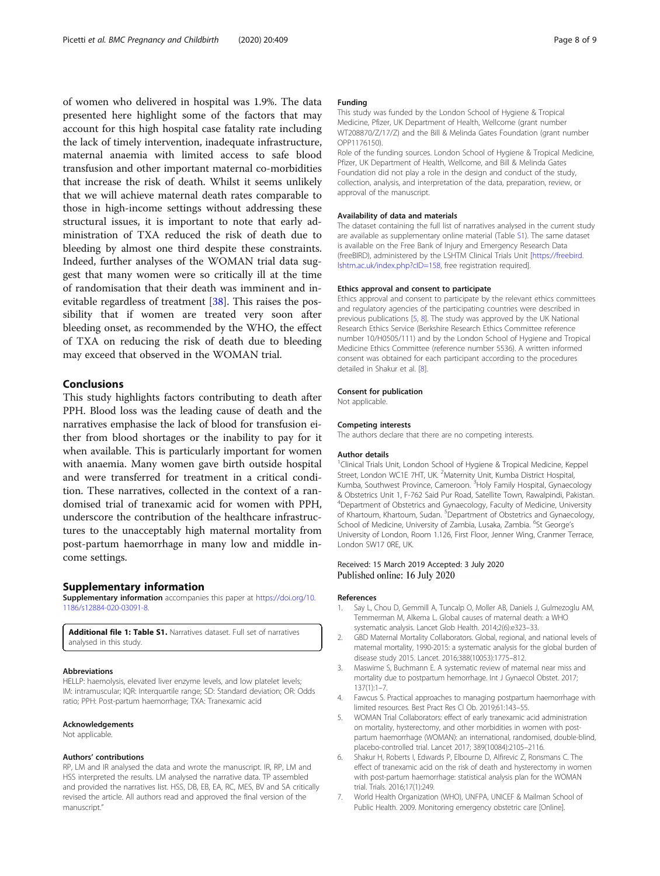<span id="page-7-0"></span>of women who delivered in hospital was 1.9%. The data presented here highlight some of the factors that may account for this high hospital case fatality rate including the lack of timely intervention, inadequate infrastructure, maternal anaemia with limited access to safe blood transfusion and other important maternal co-morbidities that increase the risk of death. Whilst it seems unlikely that we will achieve maternal death rates comparable to those in high-income settings without addressing these structural issues, it is important to note that early administration of TXA reduced the risk of death due to bleeding by almost one third despite these constraints. Indeed, further analyses of the WOMAN trial data suggest that many women were so critically ill at the time of randomisation that their death was imminent and inevitable regardless of treatment [[38\]](#page-8-0). This raises the possibility that if women are treated very soon after bleeding onset, as recommended by the WHO, the effect of TXA on reducing the risk of death due to bleeding may exceed that observed in the WOMAN trial.

#### Conclusions

This study highlights factors contributing to death after PPH. Blood loss was the leading cause of death and the narratives emphasise the lack of blood for transfusion either from blood shortages or the inability to pay for it when available. This is particularly important for women with anaemia. Many women gave birth outside hospital and were transferred for treatment in a critical condition. These narratives, collected in the context of a randomised trial of tranexamic acid for women with PPH, underscore the contribution of the healthcare infrastructures to the unacceptably high maternal mortality from post-partum haemorrhage in many low and middle income settings.

#### Supplementary information

Supplementary information accompanies this paper at [https://doi.org/10.](https://doi.org/10.1186/s12884-020-03091-8) [1186/s12884-020-03091-8](https://doi.org/10.1186/s12884-020-03091-8).

Additional file 1: Table S1. Narratives dataset. Full set of narratives analysed in this study.

#### Abbreviations

HELLP: haemolysis, elevated liver enzyme levels, and low platelet levels; IM: intramuscular; IQR: Interquartile range; SD: Standard deviation; OR: Odds ratio; PPH: Post-partum haemorrhage; TXA: Tranexamic acid

#### Acknowledgements

Not applicable.

#### Authors' contributions

RP, LM and IR analysed the data and wrote the manuscript. IR, RP, LM and HSS interpreted the results. LM analysed the narrative data. TP assembled and provided the narratives list. HSS, DB, EB, EA, RC, MES, BV and SA critically revised the article. All authors read and approved the final version of the manuscript."

#### Funding

This study was funded by the London School of Hygiene & Tropical Medicine, Pfizer, UK Department of Health, Wellcome (grant number WT208870/Z/17/Z) and the Bill & Melinda Gates Foundation (grant number OPP1176150).

Role of the funding sources. London School of Hygiene & Tropical Medicine, Pfizer, UK Department of Health, Wellcome, and Bill & Melinda Gates Foundation did not play a role in the design and conduct of the study, collection, analysis, and interpretation of the data, preparation, review, or approval of the manuscript.

#### Availability of data and materials

The dataset containing the full list of narratives analysed in the current study are available as supplementary online material (Table S1). The same dataset is available on the Free Bank of Injury and Emergency Research Data (freeBIRD), administered by the LSHTM Clinical Trials Unit [[https://freebird.](https://freebird.lshtm.ac.uk/index.php?cID=158) [lshtm.ac.uk/index.php?cID=158,](https://freebird.lshtm.ac.uk/index.php?cID=158) free registration required].

#### Ethics approval and consent to participate

Ethics approval and consent to participate by the relevant ethics committees and regulatory agencies of the participating countries were described in previous publications [5, [8\]](#page-8-0). The study was approved by the UK National Research Ethics Service (Berkshire Research Ethics Committee reference number 10/H0505/111) and by the London School of Hygiene and Tropical Medicine Ethics Committee (reference number 5536). A written informed consent was obtained for each participant according to the procedures detailed in Shakur et al. [[8](#page-8-0)].

#### Consent for publication

Not applicable.

#### Competing interests

The authors declare that there are no competing interests.

#### Author details

<sup>1</sup>Clinical Trials Unit, London School of Hygiene & Tropical Medicine, Keppel Street, London WC1E 7HT, UK. <sup>2</sup>Maternity Unit, Kumba District Hospital Kumba, Southwest Province, Cameroon. <sup>3</sup>Holy Family Hospital, Gynaecology & Obstetrics Unit 1, F-762 Said Pur Road, Satellite Town, Rawalpindi, Pakistan. 4 Department of Obstetrics and Gynaecology, Faculty of Medicine, University of Khartoum, Khartoum, Sudan. <sup>5</sup>Department of Obstetrics and Gynaecology, School of Medicine, University of Zambia, Lusaka, Zambia. <sup>6</sup>St George's University of London, Room 1.126, First Floor, Jenner Wing, Cranmer Terrace, London SW17 0RE, UK.

#### Received: 15 March 2019 Accepted: 3 July 2020 Published online: 16 July 2020

#### References

- 1. Say L, Chou D, Gemmill A, Tuncalp O, Moller AB, Daniels J, Gulmezoglu AM, Temmerman M, Alkema L. Global causes of maternal death: a WHO systematic analysis. Lancet Glob Health. 2014;2(6):e323–33.
- 2. GBD Maternal Mortality Collaborators. Global, regional, and national levels of maternal mortality, 1990-2015: a systematic analysis for the global burden of disease study 2015. Lancet. 2016;388(10053):1775–812.
- 3. Maswime S, Buchmann E. A systematic review of maternal near miss and mortality due to postpartum hemorrhage. Int J Gynaecol Obstet. 2017; 137(1):1–7.
- 4. Fawcus S. Practical approaches to managing postpartum haemorrhage with limited resources. Best Pract Res Cl Ob. 2019;61:143–55.
- 5. WOMAN Trial Collaborators: effect of early tranexamic acid administration on mortality, hysterectomy, and other morbidities in women with postpartum haemorrhage (WOMAN): an international, randomised, double-blind, placebo-controlled trial. Lancet 2017; 389(10084):2105–2116.
- 6. Shakur H, Roberts I, Edwards P, Elbourne D, Alfirevic Z, Ronsmans C. The effect of tranexamic acid on the risk of death and hysterectomy in women with post-partum haemorrhage: statistical analysis plan for the WOMAN trial. Trials. 2016;17(1):249.
- 7. World Health Organization (WHO), UNFPA, UNICEF & Mailman School of Public Health. 2009. Monitoring emergency obstetric care [Online].